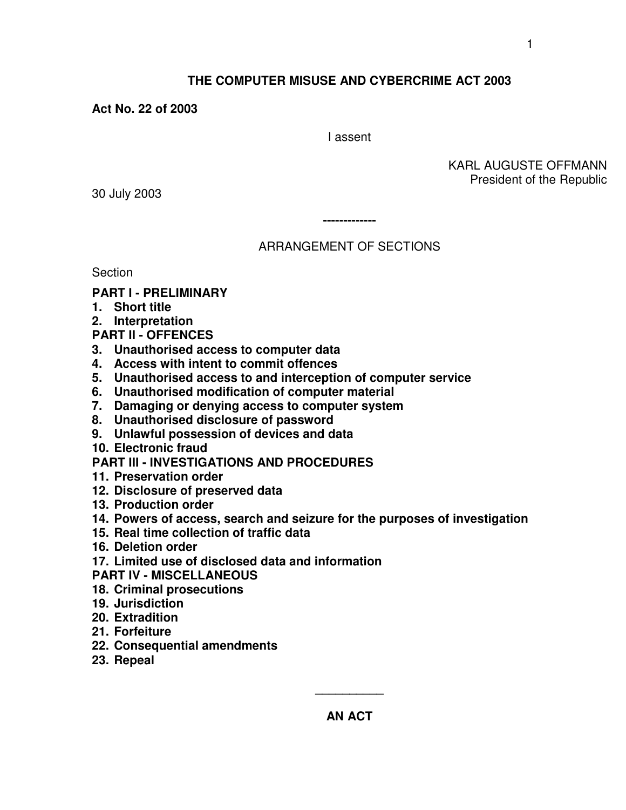KARL AUGUSTE OFFMANN

# **THE COMPUTER MISUSE AND CYBERCRIME ACT 2003**

**Act No. 22 of 2003**

I assent

President of the Republic

30 July 2003

**-------------**

# ARRANGEMENT OF SECTIONS

**Section** 

## **PART I - PRELIMINARY**

- **1. Short title**
- **2. Interpretation**
- **PART II - OFFENCES**
- **3. Unauthorised access to computer data**
- **4. Access with intent to commit offences**
- **5. Unauthorised access to and interception of computer service**
- **6. Unauthorised modification of computer material**
- **7. Damaging or denying access to computer system**
- **8. Unauthorised disclosure of password**
- **9. Unlawful possession of devices and data**
- **10. Electronic fraud**

# **PART III - INVESTIGATIONS AND PROCEDURES**

- **11. Preservation order**
- **12. Disclosure of preserved data**
- **13. Production order**
- **14. Powers of access, search and seizure for the purposes of investigation**
- **15. Real time collection of traffic data**
- **16. Deletion order**
- **17. Limited use of disclosed data and information**
- **PART IV - MISCELLANEOUS**
- **18. Criminal prosecutions**
- **19. Jurisdiction**
- **20. Extradition**
- **21. Forfeiture**
- **22. Consequential amendments**
- **23. Repeal**

**AN ACT**

**\_\_\_\_\_\_\_\_\_\_**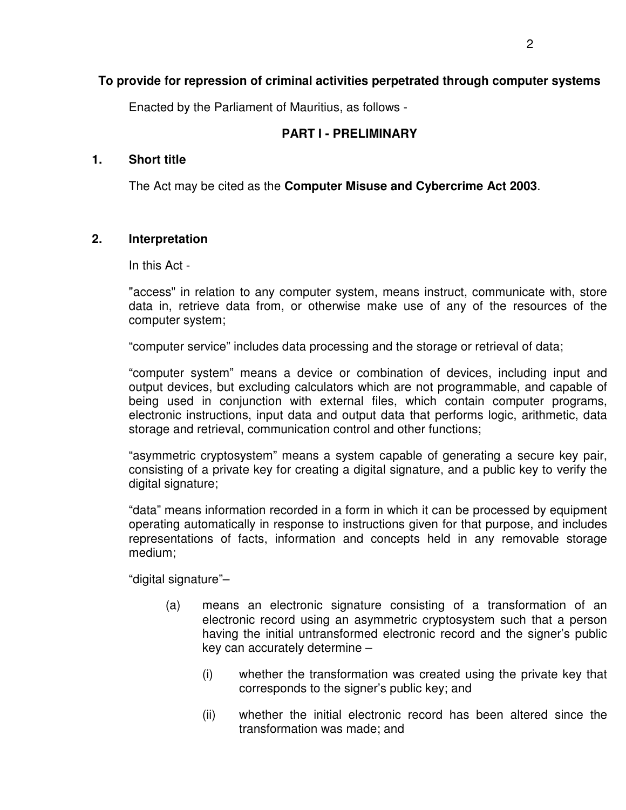# **To provide for repression of criminal activities perpetrated through computer systems**

Enacted by the Parliament of Mauritius, as follows -

## **PART I - PRELIMINARY**

#### **1. Short title**

The Act may be cited as the **Computer Misuse and Cybercrime Act 2003**.

## **2. Interpretation**

In this Act -

"access" in relation to any computer system, means instruct, communicate with, store data in, retrieve data from, or otherwise make use of any of the resources of the computer system;

"computer service" includes data processing and the storage or retrieval of data;

"computer system" means a device or combination of devices, including input and output devices, but excluding calculators which are not programmable, and capable of being used in conjunction with external files, which contain computer programs, electronic instructions, input data and output data that performs logic, arithmetic, data storage and retrieval, communication control and other functions;

"asymmetric cryptosystem" means a system capable of generating a secure key pair, consisting of a private key for creating a digital signature, and a public key to verify the digital signature;

"data" means information recorded in a form in which it can be processed by equipment operating automatically in response to instructions given for that purpose, and includes representations of facts, information and concepts held in any removable storage medium;

"digital signature"–

- (a) means an electronic signature consisting of a transformation of an electronic record using an asymmetric cryptosystem such that a person having the initial untransformed electronic record and the signer's public key can accurately determine –
	- (i) whether the transformation was created using the private key that corresponds to the signer's public key; and
	- (ii) whether the initial electronic record has been altered since the transformation was made; and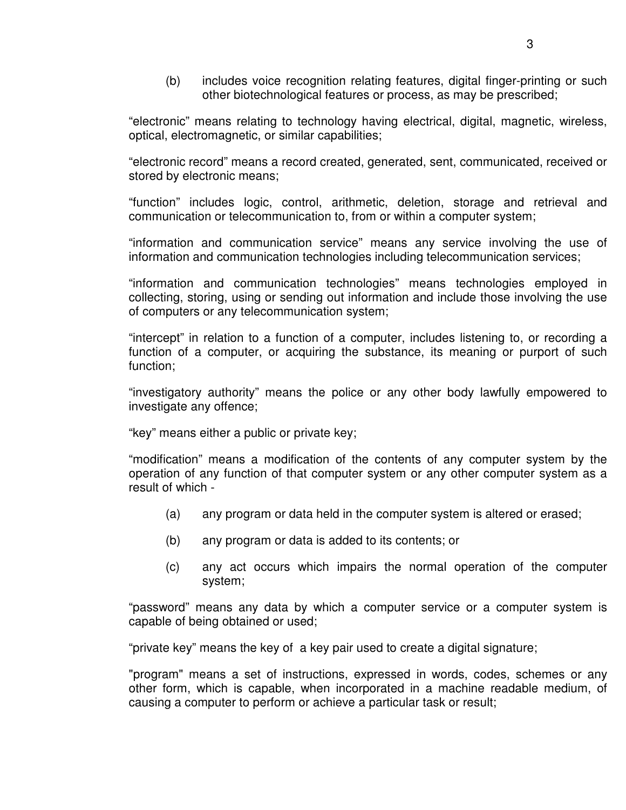(b) includes voice recognition relating features, digital finger-printing or such other biotechnological features or process, as may be prescribed;

"electronic" means relating to technology having electrical, digital, magnetic, wireless, optical, electromagnetic, or similar capabilities;

"electronic record" means a record created, generated, sent, communicated, received or stored by electronic means;

"function" includes logic, control, arithmetic, deletion, storage and retrieval and communication or telecommunication to, from or within a computer system;

"information and communication service" means any service involving the use of information and communication technologies including telecommunication services;

"information and communication technologies" means technologies employed in collecting, storing, using or sending out information and include those involving the use of computers or any telecommunication system;

"intercept" in relation to a function of a computer, includes listening to, or recording a function of a computer, or acquiring the substance, its meaning or purport of such function;

"investigatory authority" means the police or any other body lawfully empowered to investigate any offence;

"key" means either a public or private key;

"modification" means a modification of the contents of any computer system by the operation of any function of that computer system or any other computer system as a result of which -

- (a) any program or data held in the computer system is altered or erased;
- (b) any program or data is added to its contents; or
- (c) any act occurs which impairs the normal operation of the computer system;

"password" means any data by which a computer service or a computer system is capable of being obtained or used;

"private key" means the key of a key pair used to create a digital signature;

"program" means a set of instructions, expressed in words, codes, schemes or any other form, which is capable, when incorporated in a machine readable medium, of causing a computer to perform or achieve a particular task or result;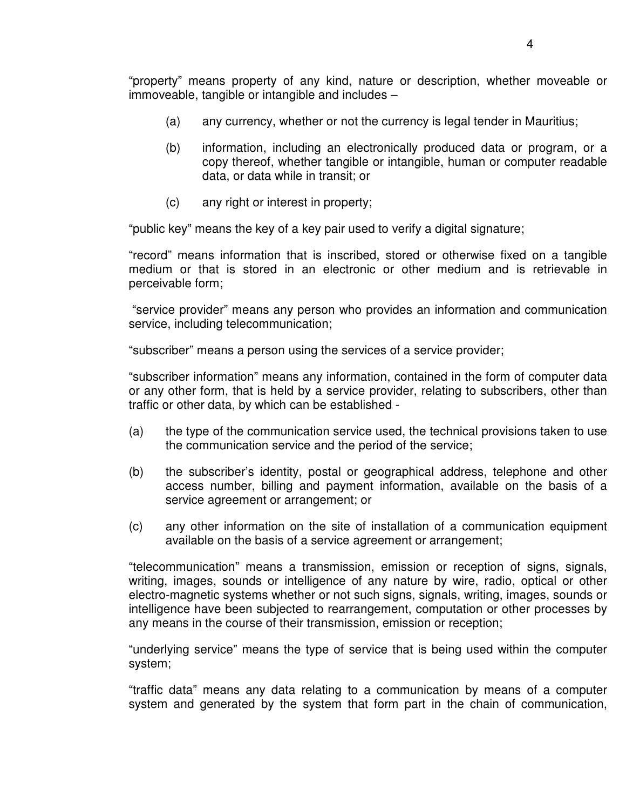"property" means property of any kind, nature or description, whether moveable or immoveable, tangible or intangible and includes –

- (a) any currency, whether or not the currency is legal tender in Mauritius;
- (b) information, including an electronically produced data or program, or a copy thereof, whether tangible or intangible, human or computer readable data, or data while in transit; or
- (c) any right or interest in property;

"public key" means the key of a key pair used to verify a digital signature;

"record" means information that is inscribed, stored or otherwise fixed on a tangible medium or that is stored in an electronic or other medium and is retrievable in perceivable form;

"service provider" means any person who provides an information and communication service, including telecommunication;

"subscriber" means a person using the services of a service provider;

"subscriber information" means any information, contained in the form of computer data or any other form, that is held by a service provider, relating to subscribers, other than traffic or other data, by which can be established -

- (a) the type of the communication service used, the technical provisions taken to use the communication service and the period of the service;
- (b) the subscriber's identity, postal or geographical address, telephone and other access number, billing and payment information, available on the basis of a service agreement or arrangement; or
- (c) any other information on the site of installation of a communication equipment available on the basis of a service agreement or arrangement;

"telecommunication" means a transmission, emission or reception of signs, signals, writing, images, sounds or intelligence of any nature by wire, radio, optical or other electro-magnetic systems whether or not such signs, signals, writing, images, sounds or intelligence have been subjected to rearrangement, computation or other processes by any means in the course of their transmission, emission or reception;

"underlying service" means the type of service that is being used within the computer system;

"traffic data" means any data relating to a communication by means of a computer system and generated by the system that form part in the chain of communication,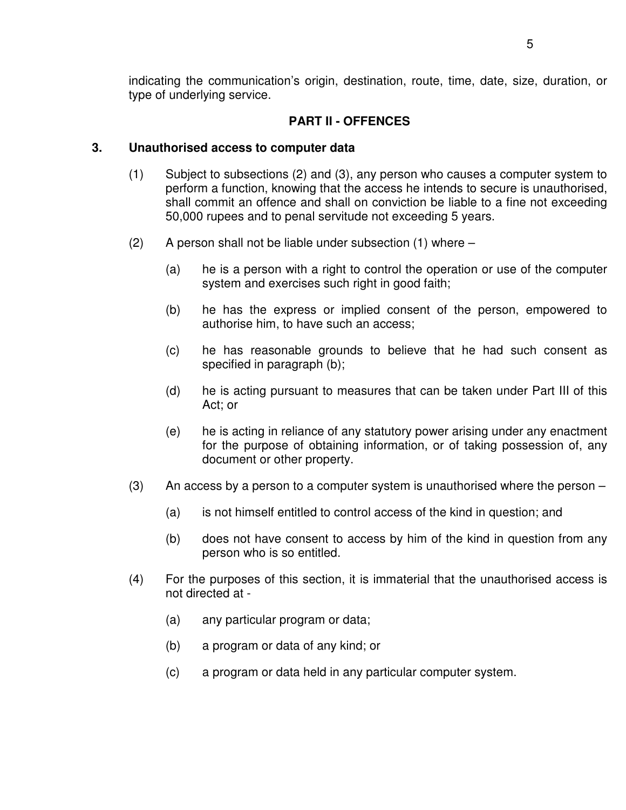indicating the communication's origin, destination, route, time, date, size, duration, or type of underlying service.

## **PART II - OFFENCES**

## **3. Unauthorised access to computer data**

- (1) Subject to subsections (2) and (3), any person who causes a computer system to perform a function, knowing that the access he intends to secure is unauthorised, shall commit an offence and shall on conviction be liable to a fine not exceeding 50,000 rupees and to penal servitude not exceeding 5 years.
- $(2)$  A person shall not be liable under subsection  $(1)$  where  $-$ 
	- (a) he is a person with a right to control the operation or use of the computer system and exercises such right in good faith;
	- (b) he has the express or implied consent of the person, empowered to authorise him, to have such an access;
	- (c) he has reasonable grounds to believe that he had such consent as specified in paragraph (b);
	- (d) he is acting pursuant to measures that can be taken under Part III of this Act; or
	- (e) he is acting in reliance of any statutory power arising under any enactment for the purpose of obtaining information, or of taking possession of, any document or other property.
- (3) An access by a person to a computer system is unauthorised where the person
	- (a) is not himself entitled to control access of the kind in question; and
	- (b) does not have consent to access by him of the kind in question from any person who is so entitled.
- (4) For the purposes of this section, it is immaterial that the unauthorised access is not directed at -
	- (a) any particular program or data;
	- (b) a program or data of any kind; or
	- (c) a program or data held in any particular computer system.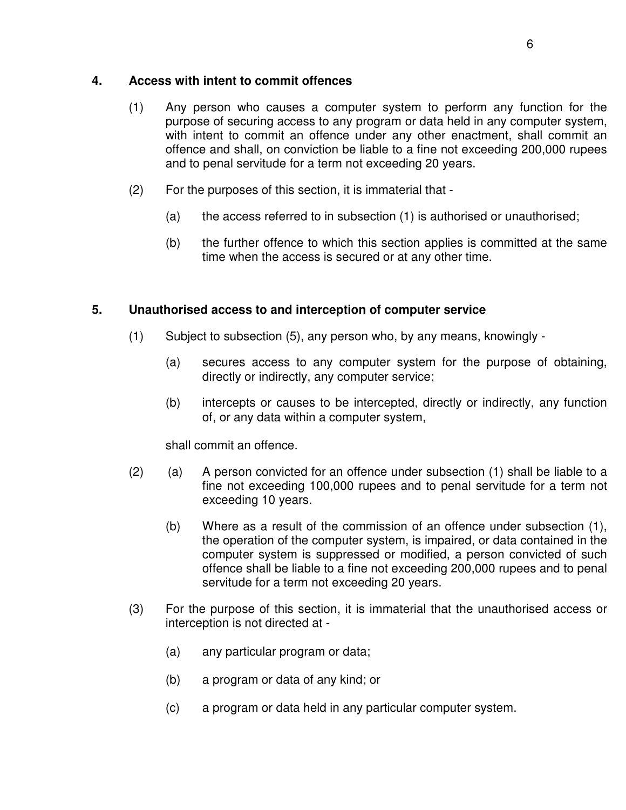## **4. Access with intent to commit offences**

- (1) Any person who causes a computer system to perform any function for the purpose of securing access to any program or data held in any computer system, with intent to commit an offence under any other enactment, shall commit an offence and shall, on conviction be liable to a fine not exceeding 200,000 rupees and to penal servitude for a term not exceeding 20 years.
- (2) For the purposes of this section, it is immaterial that
	- (a) the access referred to in subsection (1) is authorised or unauthorised;
	- (b) the further offence to which this section applies is committed at the same time when the access is secured or at any other time.

# **5. Unauthorised access to and interception of computer service**

- (1) Subject to subsection (5), any person who, by any means, knowingly
	- (a) secures access to any computer system for the purpose of obtaining, directly or indirectly, any computer service;
	- (b) intercepts or causes to be intercepted, directly or indirectly, any function of, or any data within a computer system,

shall commit an offence.

- $(2)$  (a) A person convicted for an offence under subsection  $(1)$  shall be liable to a fine not exceeding 100,000 rupees and to penal servitude for a term not exceeding 10 years.
	- (b) Where as a result of the commission of an offence under subsection (1), the operation of the computer system, is impaired, or data contained in the computer system is suppressed or modified, a person convicted of such offence shall be liable to a fine not exceeding 200,000 rupees and to penal servitude for a term not exceeding 20 years.
- (3) For the purpose of this section, it is immaterial that the unauthorised access or interception is not directed at -
	- (a) any particular program or data;
	- (b) a program or data of any kind; or
	- (c) a program or data held in any particular computer system.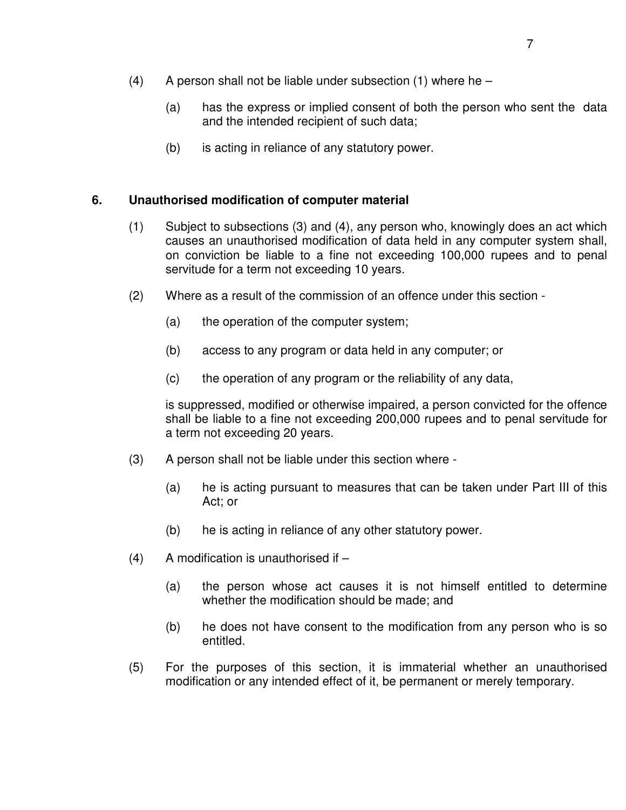- $(4)$  A person shall not be liable under subsection  $(1)$  where he
	- (a) has the express or implied consent of both the person who sent the data and the intended recipient of such data;
	- (b) is acting in reliance of any statutory power.

#### **6. Unauthorised modification of computer material**

- (1) Subject to subsections (3) and (4), any person who, knowingly does an act which causes an unauthorised modification of data held in any computer system shall, on conviction be liable to a fine not exceeding 100,000 rupees and to penal servitude for a term not exceeding 10 years.
- (2) Where as a result of the commission of an offence under this section
	- (a) the operation of the computer system;
	- (b) access to any program or data held in any computer; or
	- (c) the operation of any program or the reliability of any data,

is suppressed, modified or otherwise impaired, a person convicted for the offence shall be liable to a fine not exceeding 200,000 rupees and to penal servitude for a term not exceeding 20 years.

- (3) A person shall not be liable under this section where
	- (a) he is acting pursuant to measures that can be taken under Part III of this Act; or
	- (b) he is acting in reliance of any other statutory power.
- $(4)$  A modification is unauthorised if  $-$ 
	- (a) the person whose act causes it is not himself entitled to determine whether the modification should be made; and
	- (b) he does not have consent to the modification from any person who is so entitled.
- (5) For the purposes of this section, it is immaterial whether an unauthorised modification or any intended effect of it, be permanent or merely temporary.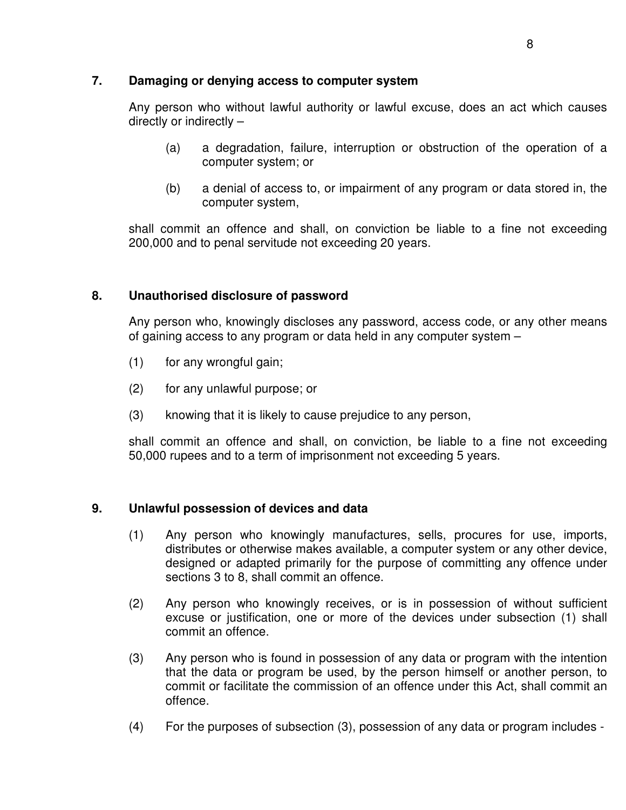## **7. Damaging or denying access to computer system**

Any person who without lawful authority or lawful excuse, does an act which causes directly or indirectly –

- (a) a degradation, failure, interruption or obstruction of the operation of a computer system; or
- (b) a denial of access to, or impairment of any program or data stored in, the computer system,

shall commit an offence and shall, on conviction be liable to a fine not exceeding 200,000 and to penal servitude not exceeding 20 years.

# **8. Unauthorised disclosure of password**

Any person who, knowingly discloses any password, access code, or any other means of gaining access to any program or data held in any computer system –

- (1) for any wrongful gain;
- (2) for any unlawful purpose; or
- (3) knowing that it is likely to cause prejudice to any person,

shall commit an offence and shall, on conviction, be liable to a fine not exceeding 50,000 rupees and to a term of imprisonment not exceeding 5 years.

# **9. Unlawful possession of devices and data**

- (1) Any person who knowingly manufactures, sells, procures for use, imports, distributes or otherwise makes available, a computer system or any other device, designed or adapted primarily for the purpose of committing any offence under sections 3 to 8, shall commit an offence.
- (2) Any person who knowingly receives, or is in possession of without sufficient excuse or justification, one or more of the devices under subsection (1) shall commit an offence.
- (3) Any person who is found in possession of any data or program with the intention that the data or program be used, by the person himself or another person, to commit or facilitate the commission of an offence under this Act, shall commit an offence.
- (4) For the purposes of subsection (3), possession of any data or program includes -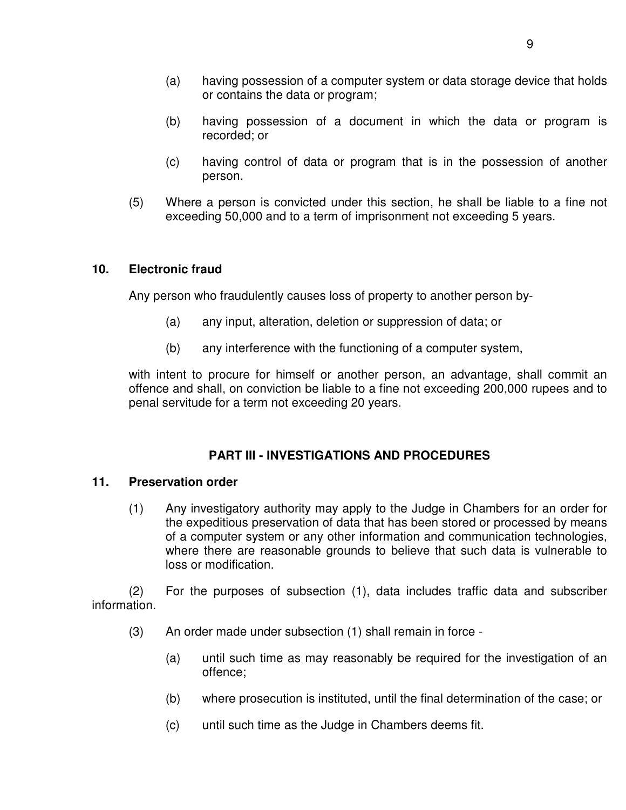- (a) having possession of a computer system or data storage device that holds or contains the data or program;
- (b) having possession of a document in which the data or program is recorded; or
- (c) having control of data or program that is in the possession of another person.
- (5) Where a person is convicted under this section, he shall be liable to a fine not exceeding 50,000 and to a term of imprisonment not exceeding 5 years.

## **10. Electronic fraud**

Any person who fraudulently causes loss of property to another person by-

- (a) any input, alteration, deletion or suppression of data; or
- (b) any interference with the functioning of a computer system,

with intent to procure for himself or another person, an advantage, shall commit an offence and shall, on conviction be liable to a fine not exceeding 200,000 rupees and to penal servitude for a term not exceeding 20 years.

## **PART III - INVESTIGATIONS AND PROCEDURES**

#### **11. Preservation order**

(1) Any investigatory authority may apply to the Judge in Chambers for an order for the expeditious preservation of data that has been stored or processed by means of a computer system or any other information and communication technologies, where there are reasonable grounds to believe that such data is vulnerable to loss or modification.

(2) For the purposes of subsection (1), data includes traffic data and subscriber information.

- (3) An order made under subsection (1) shall remain in force
	- (a) until such time as may reasonably be required for the investigation of an offence;
	- (b) where prosecution is instituted, until the final determination of the case; or
	- (c) until such time as the Judge in Chambers deems fit.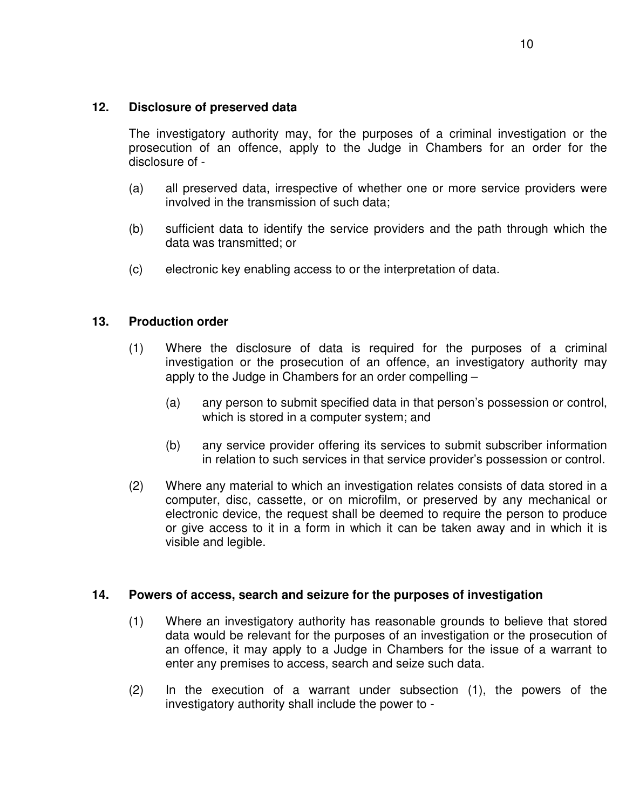## **12. Disclosure of preserved data**

The investigatory authority may, for the purposes of a criminal investigation or the prosecution of an offence, apply to the Judge in Chambers for an order for the disclosure of -

- (a) all preserved data, irrespective of whether one or more service providers were involved in the transmission of such data;
- (b) sufficient data to identify the service providers and the path through which the data was transmitted; or
- (c) electronic key enabling access to or the interpretation of data.

## **13. Production order**

- (1) Where the disclosure of data is required for the purposes of a criminal investigation or the prosecution of an offence, an investigatory authority may apply to the Judge in Chambers for an order compelling –
	- (a) any person to submit specified data in that person's possession or control, which is stored in a computer system; and
	- (b) any service provider offering its services to submit subscriber information in relation to such services in that service provider's possession or control.
- (2) Where any material to which an investigation relates consists of data stored in a computer, disc, cassette, or on microfilm, or preserved by any mechanical or electronic device, the request shall be deemed to require the person to produce or give access to it in a form in which it can be taken away and in which it is visible and legible.

## **14. Powers of access, search and seizure for the purposes of investigation**

- (1) Where an investigatory authority has reasonable grounds to believe that stored data would be relevant for the purposes of an investigation or the prosecution of an offence, it may apply to a Judge in Chambers for the issue of a warrant to enter any premises to access, search and seize such data.
- (2) In the execution of a warrant under subsection (1), the powers of the investigatory authority shall include the power to -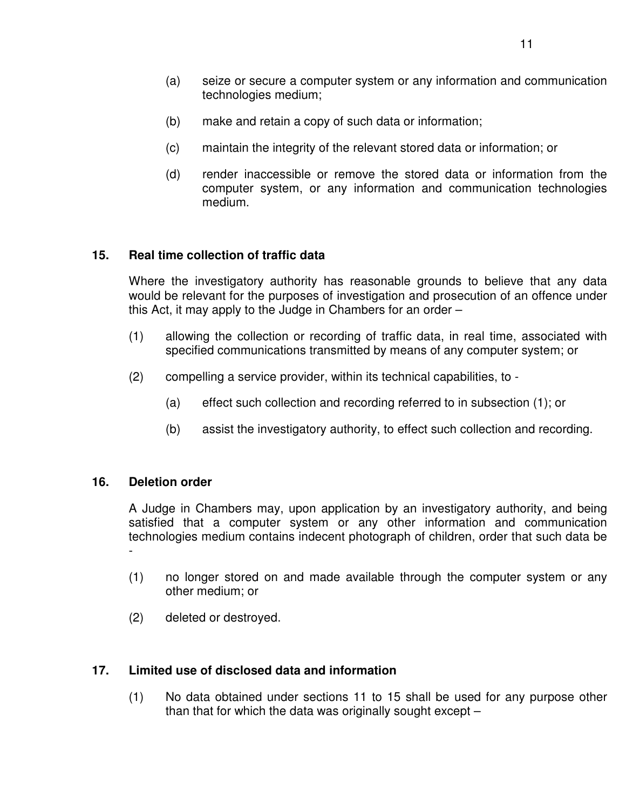- (a) seize or secure a computer system or any information and communication technologies medium;
- (b) make and retain a copy of such data or information;
- (c) maintain the integrity of the relevant stored data or information; or
- (d) render inaccessible or remove the stored data or information from the computer system, or any information and communication technologies medium.

## **15. Real time collection of traffic data**

Where the investigatory authority has reasonable grounds to believe that any data would be relevant for the purposes of investigation and prosecution of an offence under this Act, it may apply to the Judge in Chambers for an order –

- (1) allowing the collection or recording of traffic data, in real time, associated with specified communications transmitted by means of any computer system; or
- (2) compelling a service provider, within its technical capabilities, to
	- (a) effect such collection and recording referred to in subsection (1); or
	- (b) assist the investigatory authority, to effect such collection and recording.

## **16. Deletion order**

A Judge in Chambers may, upon application by an investigatory authority, and being satisfied that a computer system or any other information and communication technologies medium contains indecent photograph of children, order that such data be -

- (1) no longer stored on and made available through the computer system or any other medium; or
- (2) deleted or destroyed.

## **17. Limited use of disclosed data and information**

(1) No data obtained under sections 11 to 15 shall be used for any purpose other than that for which the data was originally sought except –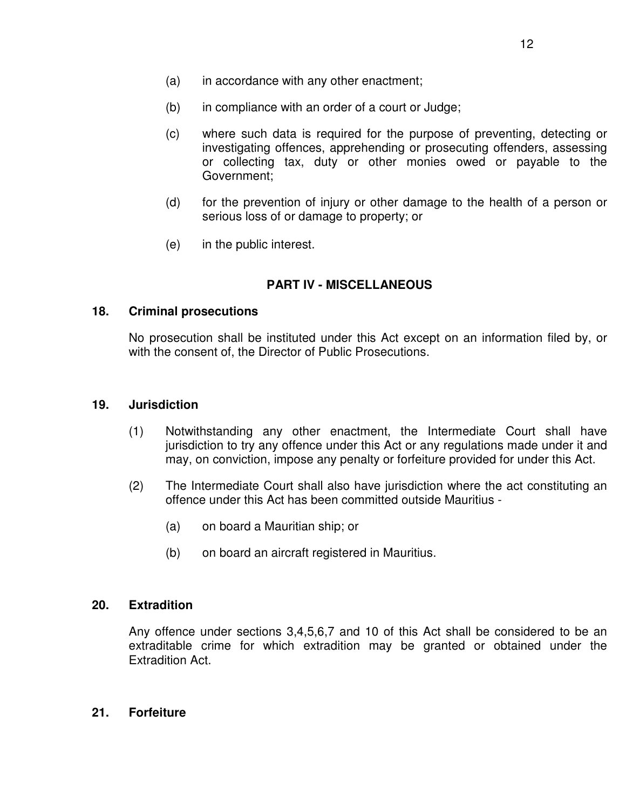- (a) in accordance with any other enactment;
- (b) in compliance with an order of a court or Judge;
- (c) where such data is required for the purpose of preventing, detecting or investigating offences, apprehending or prosecuting offenders, assessing or collecting tax, duty or other monies owed or payable to the Government;
- (d) for the prevention of injury or other damage to the health of a person or serious loss of or damage to property; or
- (e) in the public interest.

#### **PART IV - MISCELLANEOUS**

#### **18. Criminal prosecutions**

No prosecution shall be instituted under this Act except on an information filed by, or with the consent of, the Director of Public Prosecutions.

#### **19. Jurisdiction**

- (1) Notwithstanding any other enactment, the Intermediate Court shall have jurisdiction to try any offence under this Act or any regulations made under it and may, on conviction, impose any penalty or forfeiture provided for under this Act.
- (2) The Intermediate Court shall also have jurisdiction where the act constituting an offence under this Act has been committed outside Mauritius -
	- (a) on board a Mauritian ship; or
	- (b) on board an aircraft registered in Mauritius.

#### **20. Extradition**

Any offence under sections 3,4,5,6,7 and 10 of this Act shall be considered to be an extraditable crime for which extradition may be granted or obtained under the Extradition Act.

#### **21. Forfeiture**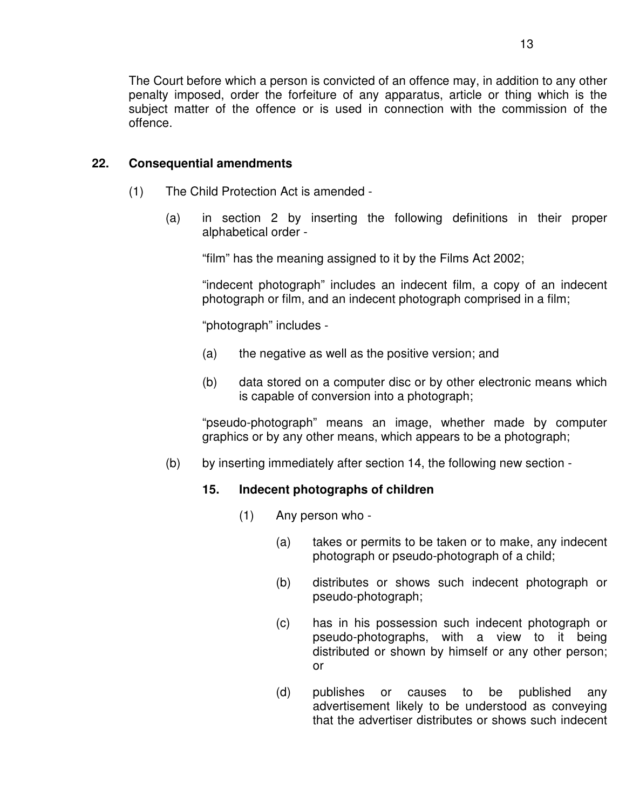The Court before which a person is convicted of an offence may, in addition to any other penalty imposed, order the forfeiture of any apparatus, article or thing which is the subject matter of the offence or is used in connection with the commission of the offence.

## **22. Consequential amendments**

- (1) The Child Protection Act is amended
	- (a) in section 2 by inserting the following definitions in their proper alphabetical order -

"film" has the meaning assigned to it by the Films Act 2002;

"indecent photograph" includes an indecent film, a copy of an indecent photograph or film, and an indecent photograph comprised in a film;

"photograph" includes -

- (a) the negative as well as the positive version; and
- (b) data stored on a computer disc or by other electronic means which is capable of conversion into a photograph;

"pseudo-photograph" means an image, whether made by computer graphics or by any other means, which appears to be a photograph;

(b) by inserting immediately after section 14, the following new section -

## **15. Indecent photographs of children**

- (1) Any person who
	- (a) takes or permits to be taken or to make, any indecent photograph or pseudo-photograph of a child;
	- (b) distributes or shows such indecent photograph or pseudo-photograph;
	- (c) has in his possession such indecent photograph or pseudo-photographs, with a view to it being distributed or shown by himself or any other person; or
	- (d) publishes or causes to be published any advertisement likely to be understood as conveying that the advertiser distributes or shows such indecent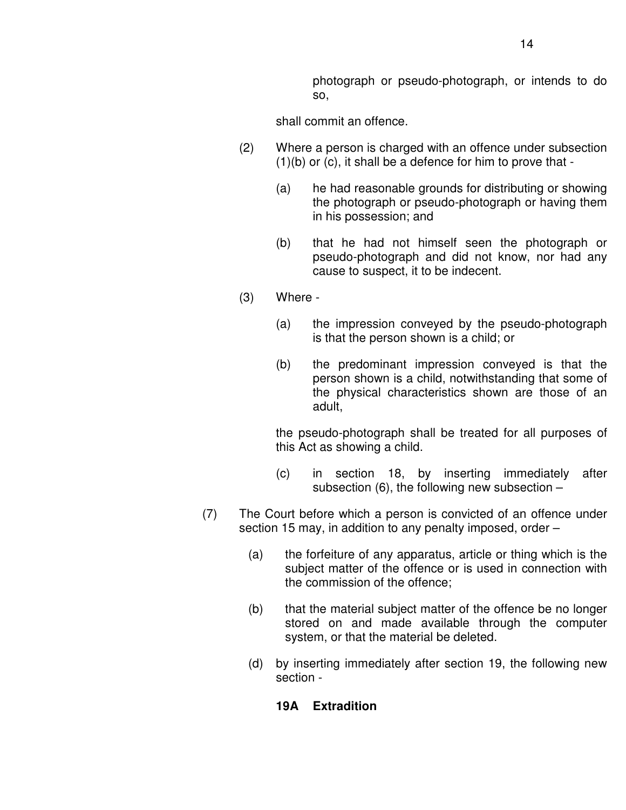photograph or pseudo-photograph, or intends to do so,

shall commit an offence.

- (2) Where a person is charged with an offence under subsection (1)(b) or (c), it shall be a defence for him to prove that -
	- (a) he had reasonable grounds for distributing or showing the photograph or pseudo-photograph or having them in his possession; and
	- (b) that he had not himself seen the photograph or pseudo-photograph and did not know, nor had any cause to suspect, it to be indecent.
- (3) Where
	- (a) the impression conveyed by the pseudo-photograph is that the person shown is a child; or
	- (b) the predominant impression conveyed is that the person shown is a child, notwithstanding that some of the physical characteristics shown are those of an adult,

the pseudo-photograph shall be treated for all purposes of this Act as showing a child.

- (c) in section 18, by inserting immediately after subsection  $(6)$ , the following new subsection  $-$
- (7) The Court before which a person is convicted of an offence under section 15 may, in addition to any penalty imposed, order –
	- (a) the forfeiture of any apparatus, article or thing which is the subject matter of the offence or is used in connection with the commission of the offence;
	- (b) that the material subject matter of the offence be no longer stored on and made available through the computer system, or that the material be deleted.
	- (d) by inserting immediately after section 19, the following new section -

## **19A Extradition**